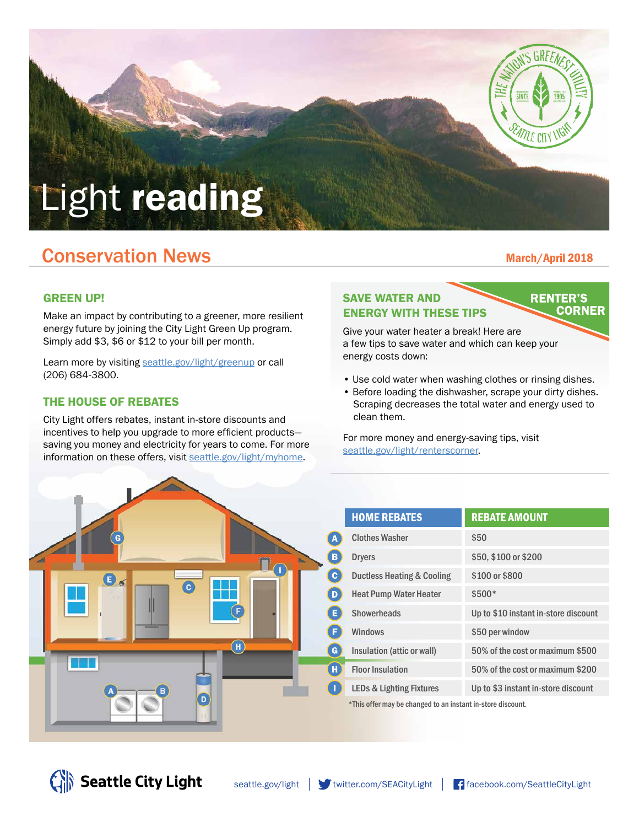

## **Conservation News March/April 2018** March/April 2018

#### GREEN UP!

Make an impact by contributing to a greener, more resilient energy future by joining the City Light Green Up program. Simply add \$3, \$6 or \$12 to your bill per month.

Learn more by visiting [seattle.gov/light/greenup](http://www.seattle.gov/light/greenup) or call (206) 684-3800.

#### THE HOUSE OF REBATES

City Light offers rebates, instant in-store discounts and incentives to help you upgrade to more efficient products saving you money and electricity for years to come. For more information on these offers, visit [seattle.gov/light/myhome](http://www.seattle.gov/light/myhome).

#### SAVE WATER AND ENERGY WITH THESE TIPS

**RENTER'S CORNER** 

Give your water heater a break! Here are a few tips to save water and which can keep your energy costs down:

- Use cold water when washing clothes or rinsing dishes.
- Before loading the dishwasher, scrape your dirty dishes. Scraping decreases the total water and energy used to clean them.

For more money and energy-saving tips, visit [seattle.gov/light/renterscorner.](http://www.seattle.gov/light/renterscorner)



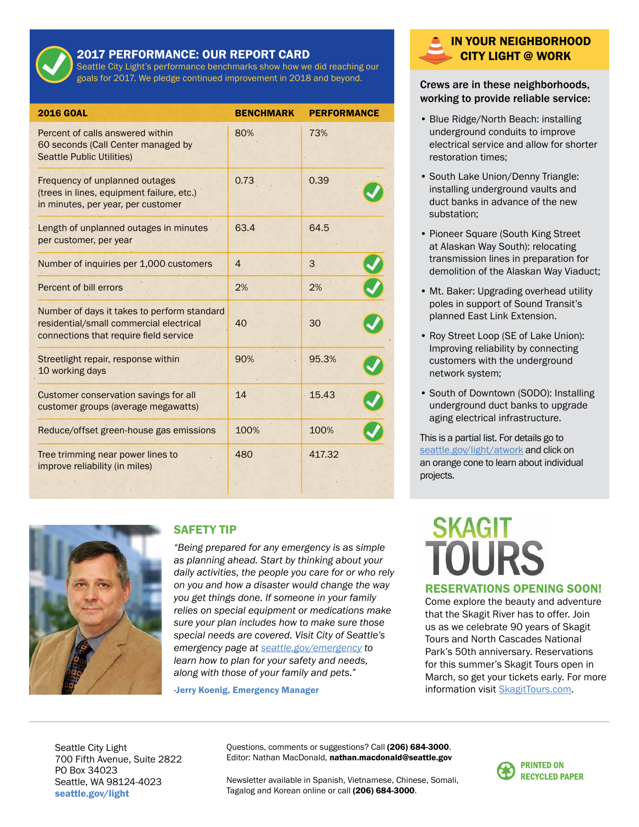

#### 2017 PERFORMANCE: OUR REPORT CARD

Seattle City Light's performance benchmarks show how we did reaching our goals for 2017. We pledge continued improvement in 2018 and beyond.

| <b>2016 GOAL</b>                                                                                                                 | <b>BENCHMARK</b> | <b>PERFORMANCE</b> |
|----------------------------------------------------------------------------------------------------------------------------------|------------------|--------------------|
| Percent of calls answered within<br>60 seconds (Call Center managed by<br><b>Seattle Public Utilities)</b>                       | 80%              | 73%                |
| Frequency of unplanned outages<br>(trees in lines, equipment failure, etc.)<br>in minutes, per year, per customer                | 0.73             | 0.39               |
| Length of unplanned outages in minutes<br>per customer, per year                                                                 | 63.4             | 64.5               |
| Number of inquiries per 1,000 customers                                                                                          | $\overline{4}$   | 3                  |
| Percent of bill errors                                                                                                           | 2%               | 2%                 |
| Number of days it takes to perform standard<br>residential/small commercial electrical<br>connections that require field service | 40               | 30                 |
| Streetlight repair, response within<br>10 working days                                                                           | 90%              | 95.3%              |
| Customer conservation savings for all<br>customer groups (average megawatts)                                                     | 14               | 15.43              |
| Reduce/offset green-house gas emissions                                                                                          | 100%             | 100%               |
| Tree trimming near power lines to<br>improve reliability (in miles)                                                              | 480              | 417.32             |



#### SAFETY TIP

*"Being prepared for any emergency is as simple as planning ahead. Start by thinking about your daily activities, the people you care for or who rely on you and how a disaster would change the way you get things done. If someone in your family relies on special equipment or medications make sure your plan includes how to make sure those special needs are covered. Visit City of Seattle's emergency page at [seattle.gov/emergency](http://www.seattle.gov/emergency) to learn how to plan for your safety and needs, along with those of your family and pets."*

-Jerry Koenig, Emergency Manager

#### IN YOUR NEIGHBORHOOD CITY LIGHT @ WORK

#### Crews are in these neighborhoods, working to provide reliable service:

- Blue Ridge/North Beach: installing underground conduits to improve electrical service and allow for shorter restoration times;
- South Lake Union/Denny Triangle: installing underground vaults and duct banks in advance of the new substation;
- Pioneer Square (South King Street at Alaskan Way South): relocating transmission lines in preparation for demolition of the Alaskan Way Viaduct;
- Mt. Baker: Upgrading overhead utility poles in support of Sound Transit's planned East Link Extension.
- Roy Street Loop (SE of Lake Union): Improving reliability by connecting customers with the underground network system;
- South of Downtown (SODO): Installing underground duct banks to upgrade aging electrical infrastructure.

This is a partial list. For details go to [seattle.gov/light/atwork](http://www.seattle.gov/light/atwork) and click on an orange cone to learn about individual projects.

# **SKAGIT**

#### RESERVATIONS OPENING SOON!

Come explore the beauty and adventure that the Skagit River has to offer. Join us as we celebrate 90 years of Skagit Tours and North Cascades National Park's 50th anniversary. Reservations for this summer's Skagit Tours open in March, so get your tickets early. For more information visit [SkagitTours.com.](http://www.skagittours.com)

Seattle City Light 700 Fifth Avenue, Suite 2822 PO Box 34023 Seattle, WA 98124-4023 [seattle.gov/light](http://www.seattle.gov/light)

Questions, comments or suggestions? Call (206) 684-3000. Editor: Nathan MacDonald, nathan.macdonald@seattle.gov

**PRINTED ON RECYCLED PAPER** 

Newsletter available in Spanish, Vietnamese, Chinese, Somali, Tagalog and Korean online or call (206) 684-3000.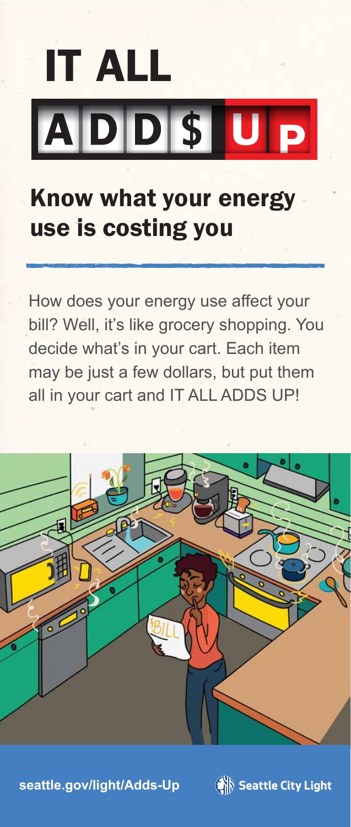# **IT ALL** ADDSUP

### Know what your energy use is costing you

How does your energy use affect your bill? Well, it's like grocery shopping. You decide what's in your cart. Each item may be just a few dollars, but put them all in your cart and IT ALL ADDS UP!



**[seattle.gov/light/Adds-Up](http://www.seattle.gov/light/Adds-Up)**